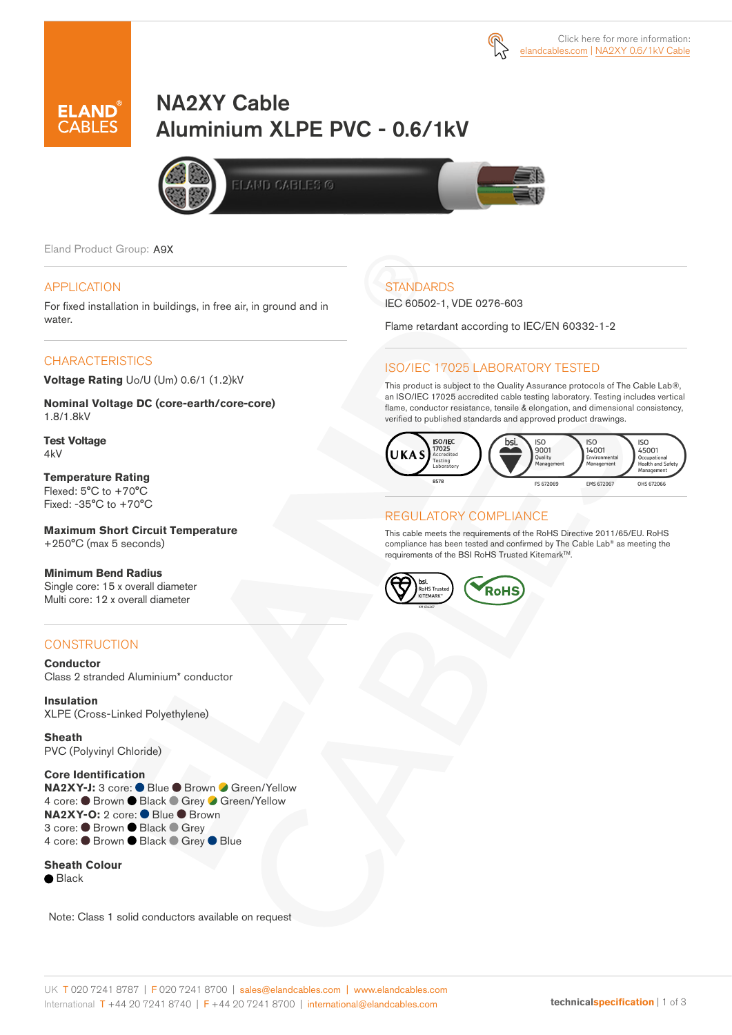



# NA2XY Cable Aluminium XLPE PVC - 0.6/1kV







Eland Product Group: A9X

#### APPLICATION

For fixed installation in buildings, in free air, in ground and in water.

#### **CHARACTERISTICS**

**Voltage Rating** Uo/U (Um) 0.6/1 (1.2)kV

**Nominal Voltage DC (core-earth/core-core)** 1.8/1.8kV

**Test Voltage**  4kV

**Temperature Rating**  Flexed: 5°C to +70°C Fixed: -35°C to +70°C

**Maximum Short Circuit Temperature** +250°C (max 5 seconds)

**Minimum Bend Radius** Single core: 15 x overall diameter Multi core: 12 x overall diameter

### **CONSTRUCTION**

**Conductor** Class 2 stranded Aluminium\* conductor

**Insulation** XLPE (Cross-Linked Polyethylene)

**Sheath** PVC (Polyvinyl Chloride)

**Core Identification NA2XY-J:** 3 core: ● Blue ● Brown ● Green/Yellow 4 core: ● Brown ● Black ● Grey ● Green/Yellow **NA2XY-O:** 2 core: ● Blue ● Brown 3 core: ● Brown ● Black ● Grey 4 core: ● Brown ● Black ● Grey ● Blue

**Sheath Colour**

**■** Black

Note: Class 1 solid conductors available on request

# **STANDARDS**

IEC 60502-1, VDE 0276-603

Flame retardant according to IEC/EN 60332-1-2

#### ISO/IEC 17025 LABORATORY TESTED

This product is subject to the Quality Assurance protocols of The Cable Lab®, an ISO/IEC 17025 accredited cable testing laboratory. Testing includes vertical flame, conductor resistance, tensile & elongation, and dimensional consistency, verified to published standards and approved product drawings.



#### REGULATORY COMPLIANCE

This cable meets the requirements of the RoHS Directive 2011/65/EU. RoHS compliance has been tested and confirmed by The Cable Lab® as meeting the requirements of the BSI RoHS Trusted Kitemark™.

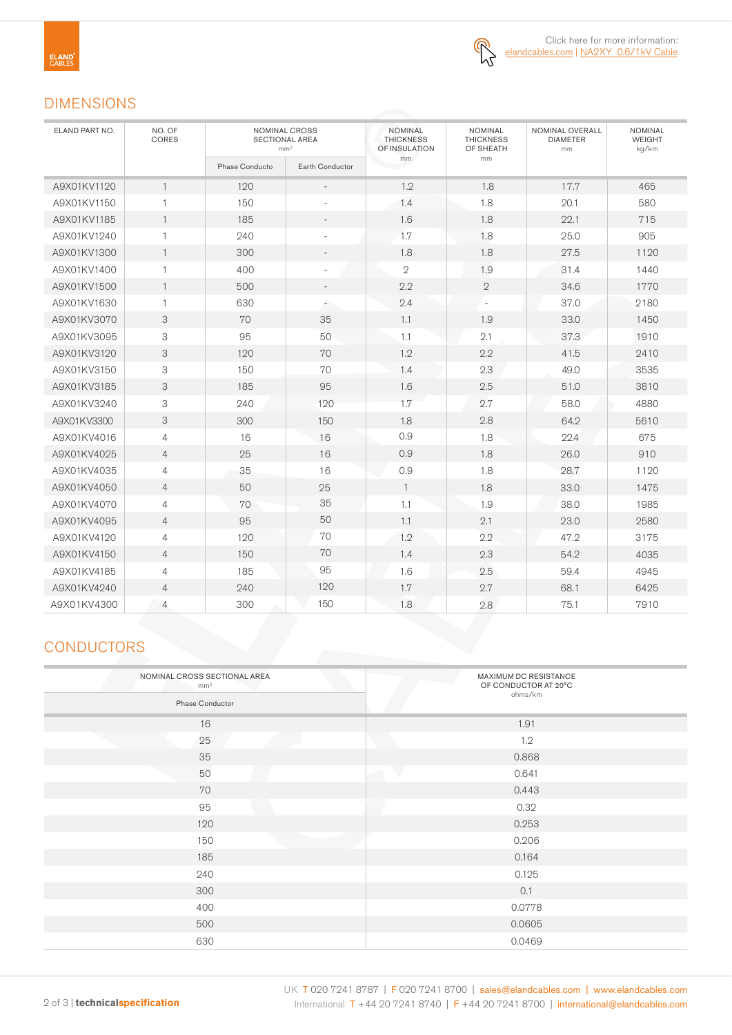

## DIMENSIONS

| ELAND PART NO. | NO. OF<br><b>CORES</b> | NOMINAL CROSS<br><b>SECTIONAL AREA</b><br>mm <sup>2</sup> |                          | <b>NOMINAL</b><br><b>THICKNESS</b><br>OF INSULATION | <b>NOMINAL</b><br><b>THICKNESS</b><br>OF SHEATH | NOMINAL OVERALL<br><b>DIAMETER</b><br>mm | <b>NOMINAL</b><br><b>WEIGHT</b><br>kg/km |
|----------------|------------------------|-----------------------------------------------------------|--------------------------|-----------------------------------------------------|-------------------------------------------------|------------------------------------------|------------------------------------------|
|                |                        | Phase Conducto                                            | Earth Conductor          | mm                                                  | mm                                              |                                          |                                          |
| A9X01KV1120    | $\mathbf{1}$           | 120                                                       |                          | 1.2                                                 | 1.8                                             | 17.7                                     | 465                                      |
| A9X01KV1150    | 1                      | 150                                                       | $\overline{\phantom{a}}$ | 1.4                                                 | 1.8                                             | 20.1                                     | 580                                      |
| A9X01KV1185    | $\mathbf{1}$           | 185                                                       |                          | 1.6                                                 | 1.8                                             | 22.1                                     | 715                                      |
| A9X01KV1240    | $\mathbf{1}$           | 240                                                       | $\sim$                   | 1.7                                                 | 1.8                                             | 25.0                                     | 905                                      |
| A9X01KV1300    | $\mathbf{1}$           | 300                                                       | $\overline{\phantom{a}}$ | 1.8                                                 | 1.8                                             | 27.5                                     | 1120                                     |
| A9X01KV1400    | $\mathbf{1}$           | 400                                                       |                          | $\mathbf{2}$                                        | 1.9                                             | 31.4                                     | 1440                                     |
| A9X01KV1500    | $\mathbf{1}$           | 500                                                       | $\overline{\phantom{a}}$ | 2.2                                                 | $\sqrt{2}$                                      | 34.6                                     | 1770                                     |
| A9X01KV1630    | $\mathbf{1}$           | 630                                                       | ٠                        | 2.4                                                 |                                                 | 37.0                                     | 2180                                     |
| A9X01KV3070    | 3                      | 70                                                        | 35                       | 1.1                                                 | 1.9                                             | 33.0                                     | 1450                                     |
| A9X01KV3095    | 3                      | 95                                                        | 50                       | 1.1                                                 | 2.1                                             | 37.3                                     | 1910                                     |
| A9X01KV3120    | 3                      | 120                                                       | 70                       | 1.2                                                 | 2.2                                             | 41.5                                     | 2410                                     |
| A9X01KV3150    | 3                      | 150                                                       | 70                       | 1.4                                                 | 2.3                                             | 49.0                                     | 3535                                     |
| A9X01KV3185    | 3                      | 185                                                       | 95                       | 1.6                                                 | 2.5                                             | 51.0                                     | 3810                                     |
| A9X01KV3240    | 3                      | 240                                                       | 120                      | 1.7                                                 | 2.7                                             | 58.0                                     | 4880                                     |
| A9X01KV3300    | 3                      | 300                                                       | 150                      | 1.8                                                 | 2.8                                             | 64.2                                     | 5610                                     |
| A9X01KV4016    | $\overline{4}$         | 16                                                        | 16                       | 0.9                                                 | 1.8                                             | 22.4                                     | 675                                      |
| A9X01KV4025    | $\overline{4}$         | 25                                                        | 16                       | 0.9                                                 | 1.8                                             | 26.0                                     | 910                                      |
| A9X01KV4035    | 4                      | 35                                                        | 16                       | 0.9                                                 | 1.8                                             | 28.7                                     | 1120                                     |
| A9X01KV4050    | $\overline{4}$         | 50                                                        | 25                       | $\mathbf{1}$                                        | 1.8                                             | 33.0                                     | 1475                                     |
| A9X01KV4070    | 4                      | 70                                                        | 35                       | 1.1                                                 | 1.9                                             | 38.0                                     | 1985                                     |
| A9X01KV4095    | $\overline{4}$         | 95                                                        | 50                       | 1.1                                                 | 2.1                                             | 23.0                                     | 2580                                     |
| A9X01KV4120    | 4                      | 120                                                       | 70                       | 1.2                                                 | 2.2                                             | 47.2                                     | 3175                                     |
| A9X01KV4150    | $\overline{4}$         | 150                                                       | 70                       | 1.4                                                 | 2.3                                             | 54.2                                     | 4035                                     |
| A9X01KV4185    | $\overline{4}$         | 185                                                       | 95                       | 1.6                                                 | 2.5                                             | 59.4                                     | 4945                                     |
| A9X01KV4240    | $\overline{4}$         | 240                                                       | 120                      | 1.7                                                 | 2.7                                             | 68.1                                     | 6425                                     |
| A9X01KV4300    | $\overline{4}$         | 300                                                       | 150                      | 1.8                                                 | 2.8                                             | 75.1                                     | 7910                                     |

## **CONDUCTORS**

| NOMINAL CROSS SECTIONAL AREA<br>mm <sup>2</sup><br>Phase Conductor | MAXIMUM DC RESISTANCE<br>OF CONDUCTOR AT 20°C<br>ohms/km |  |  |  |
|--------------------------------------------------------------------|----------------------------------------------------------|--|--|--|
| 16                                                                 | 1.91                                                     |  |  |  |
| 25                                                                 | 1.2                                                      |  |  |  |
| 35                                                                 | 0.868                                                    |  |  |  |
| 50                                                                 | $\overline{\phantom{a}}$<br>0.641                        |  |  |  |
| 70                                                                 | 0.443                                                    |  |  |  |
| 95                                                                 | 0.32                                                     |  |  |  |
| 120                                                                | 0.253                                                    |  |  |  |
| 150                                                                | 0.206                                                    |  |  |  |
| 185                                                                | 0.164                                                    |  |  |  |
| 240                                                                | 0.125                                                    |  |  |  |
| 300                                                                | 0.1                                                      |  |  |  |
| 400                                                                | 0.0778                                                   |  |  |  |
| 500                                                                | 0.0605                                                   |  |  |  |
| 630                                                                | 0.0469                                                   |  |  |  |